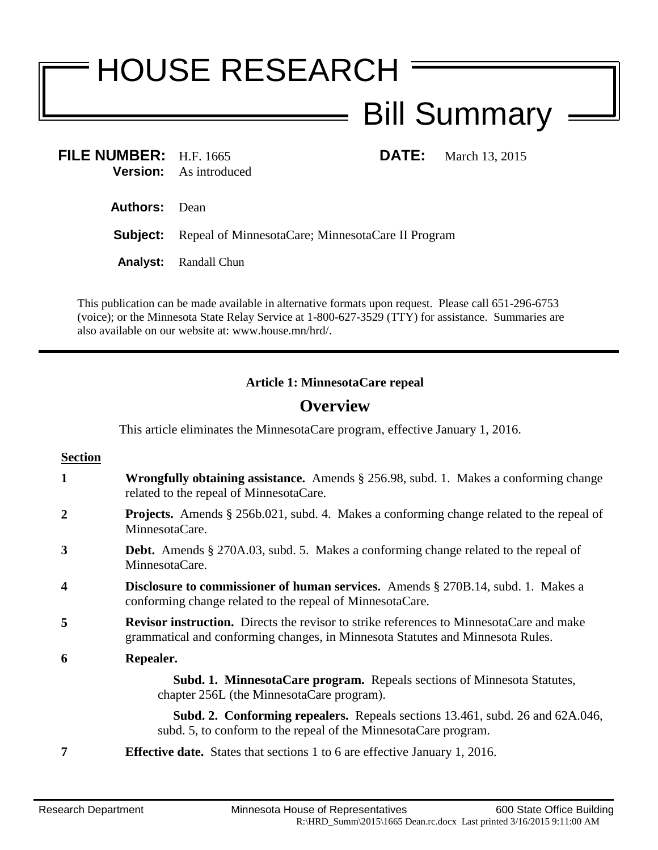# HOUSE RESEARCH Bill Summary  $\equiv$

| FILE NUMBER: $H.F. 1665$ |                               |
|--------------------------|-------------------------------|
|                          | <b>Version:</b> As introduced |

**FILE:** March 13, 2015

**Authors:** Dean

**Subject:** Repeal of MinnesotaCare; MinnesotaCare II Program

**Analyst:** Randall Chun

This publication can be made available in alternative formats upon request. Please call 651-296-6753 (voice); or the Minnesota State Relay Service at 1-800-627-3529 (TTY) for assistance. Summaries are also available on our website at: www.house.mn/hrd/.

## **Article 1: MinnesotaCare repeal**

# **Overview**

This article eliminates the MinnesotaCare program, effective January 1, 2016.

| <b>Section</b>   |                                                                                                                                                                                  |
|------------------|----------------------------------------------------------------------------------------------------------------------------------------------------------------------------------|
| 1                | <b>Wrongfully obtaining assistance.</b> Amends $\S$ 256.98, subd. 1. Makes a conforming change<br>related to the repeal of MinnesotaCare.                                        |
| 2                | <b>Projects.</b> Amends § 256b.021, subd. 4. Makes a conforming change related to the repeal of<br>MinnesotaCare.                                                                |
| 3                | <b>Debt.</b> Amends § 270A.03, subd. 5. Makes a conforming change related to the repeal of<br>MinnesotaCare.                                                                     |
| $\boldsymbol{4}$ | <b>Disclosure to commissioner of human services.</b> Amends § 270B.14, subd. 1. Makes a<br>conforming change related to the repeal of MinnesotaCare.                             |
| 5                | <b>Revisor instruction.</b> Directs the revisor to strike references to MinnesotaCare and make<br>grammatical and conforming changes, in Minnesota Statutes and Minnesota Rules. |
| 6                | Repealer.                                                                                                                                                                        |
|                  | <b>Subd. 1. MinnesotaCare program.</b> Repeals sections of Minnesota Statutes,<br>chapter 256L (the MinnesotaCare program).                                                      |
|                  | <b>Subd. 2. Conforming repealers.</b> Repeals sections 13.461, subd. 26 and 62A.046,<br>subd. 5, to conform to the repeal of the MinnesotaCare program.                          |
|                  | <b>Effective date.</b> States that sections 1 to 6 are effective January 1, 2016.                                                                                                |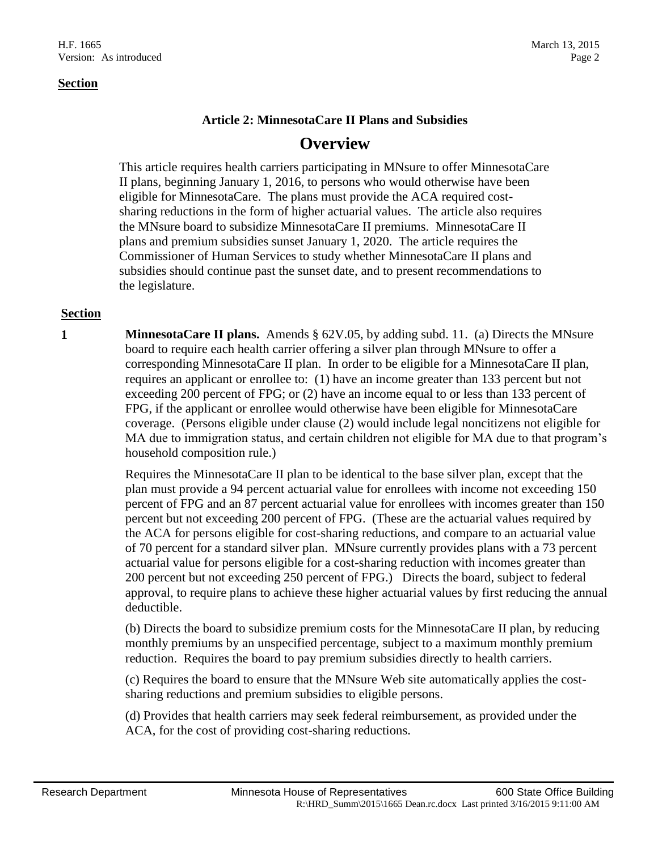#### **Section**

### **Article 2: MinnesotaCare II Plans and Subsidies**

## **Overview**

This article requires health carriers participating in MNsure to offer MinnesotaCare II plans, beginning January 1, 2016, to persons who would otherwise have been eligible for MinnesotaCare. The plans must provide the ACA required costsharing reductions in the form of higher actuarial values. The article also requires the MNsure board to subsidize MinnesotaCare II premiums. MinnesotaCare II plans and premium subsidies sunset January 1, 2020. The article requires the Commissioner of Human Services to study whether MinnesotaCare II plans and subsidies should continue past the sunset date, and to present recommendations to the legislature.

#### **Section**

**1 MinnesotaCare II plans.** Amends § 62V.05, by adding subd. 11. (a) Directs the MNsure board to require each health carrier offering a silver plan through MNsure to offer a corresponding MinnesotaCare II plan. In order to be eligible for a MinnesotaCare II plan, requires an applicant or enrollee to: (1) have an income greater than 133 percent but not exceeding 200 percent of FPG; or (2) have an income equal to or less than 133 percent of FPG, if the applicant or enrollee would otherwise have been eligible for MinnesotaCare coverage. (Persons eligible under clause (2) would include legal noncitizens not eligible for MA due to immigration status, and certain children not eligible for MA due to that program's household composition rule.)

> Requires the MinnesotaCare II plan to be identical to the base silver plan, except that the plan must provide a 94 percent actuarial value for enrollees with income not exceeding 150 percent of FPG and an 87 percent actuarial value for enrollees with incomes greater than 150 percent but not exceeding 200 percent of FPG. (These are the actuarial values required by the ACA for persons eligible for cost-sharing reductions, and compare to an actuarial value of 70 percent for a standard silver plan. MNsure currently provides plans with a 73 percent actuarial value for persons eligible for a cost-sharing reduction with incomes greater than 200 percent but not exceeding 250 percent of FPG.) Directs the board, subject to federal approval, to require plans to achieve these higher actuarial values by first reducing the annual deductible.

(b) Directs the board to subsidize premium costs for the MinnesotaCare II plan, by reducing monthly premiums by an unspecified percentage, subject to a maximum monthly premium reduction. Requires the board to pay premium subsidies directly to health carriers.

(c) Requires the board to ensure that the MNsure Web site automatically applies the costsharing reductions and premium subsidies to eligible persons.

(d) Provides that health carriers may seek federal reimbursement, as provided under the ACA, for the cost of providing cost-sharing reductions.